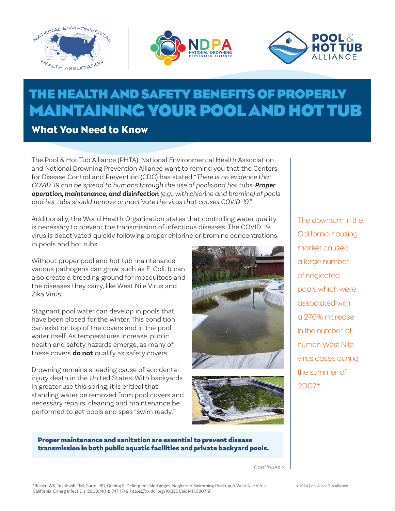





# **THE HEALTH AND SAFETY BENEFITS OF PROPERLY MAINTAINING YOUR POOL AND HOT TUB**

What You Need to Know

The Pool & Hot Tub Alliance (PHTA), National Environmental Health Association and National Drowning Prevention Alliance want to remind you that the Centers for Disease Control and Prevention (CDC) has stated *"There is no evidence that COVID-19 can be spread to humans through the use of pools and hot tubs. Proper operation, maintenance, and disinfection (e.g., with chlorine and bromine) of pools and hot tubs should remove or inactivate the virus that causes COVID-19."*

Additionally, the World Health Organization states that controlling water quality is necessary to prevent the transmission of infectious diseases. The COVID-19 virus is deactivated quickly following proper chlorine or bromine concentrations in pools and hot tubs.

Without proper pool and hot tub maintenance various pathogens can grow, such as E. Coli. It can also create a breeding ground for mosquitoes and the diseases they carry, like West Nile Virus and Zika Virus.

Stagnant pool water can develop in pools that have been closed for the winter. This condition can exist on top of the covers and in the pool water itself. As temperatures increase, public health and safety hazards emerge, as many of these covers **do not** qualify as safety covers.

Drowning remains a leading cause of accidental injury death in the United States. With backyards in greater use this spring, it is critical that standing water be removed from pool covers and necessary repairs, cleaning and maintenance be performed to get pools and spas "swim ready."





The downturn in the California housing market caused a large number of neglected pools which were associated with a 276% increase in the number of human West Nile virus cases during the summer of 2007.\*

Proper maintenance and sanitation are essential to prevent disease transmission in both public aquatic facilities and private backyard pools.

*Continues >*